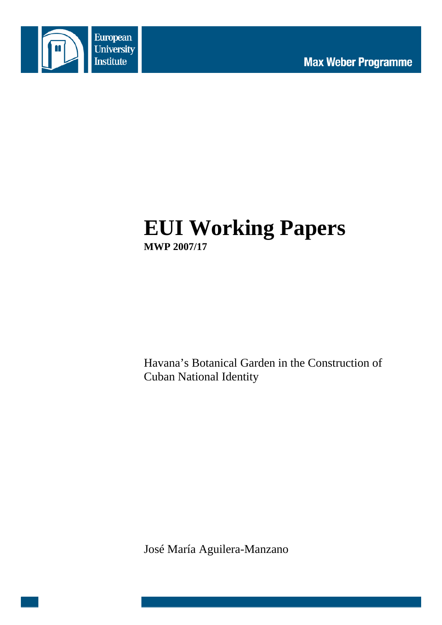

# **EUI Working Papers MWP 2007/17**

Havana's Botanical Garden in the Construction of Cuban National Identity

José María Aguilera-Manzano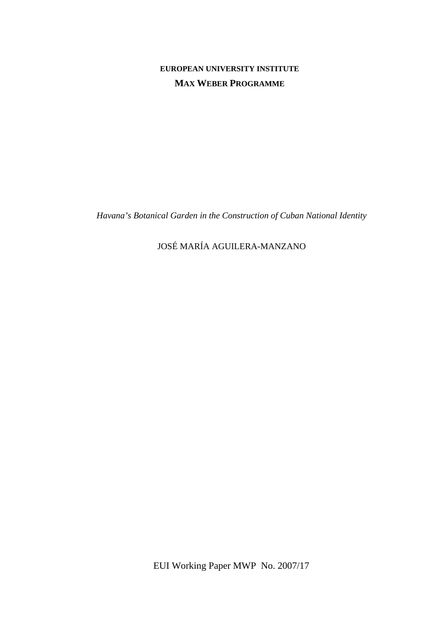# **EUROPEAN UNIVERSITY INSTITUTE MAX WEBER PROGRAMME**

*Havana's Botanical Garden in the Construction of Cuban National Identity* 

# JOSÉ MARÍA AGUILERA-MANZANO

EUI Working Paper MWP No. 2007/17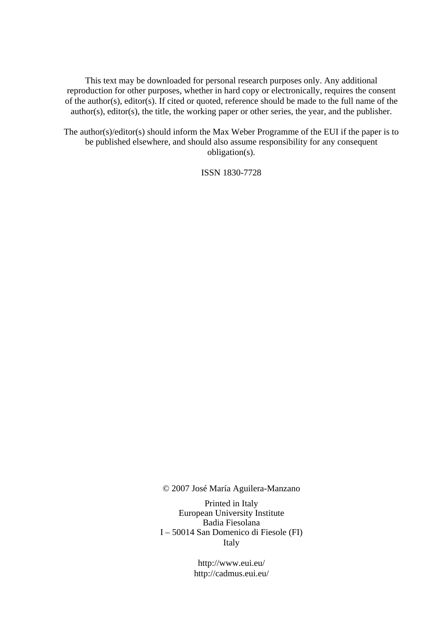This text may be downloaded for personal research purposes only. Any additional reproduction for other purposes, whether in hard copy or electronically, requires the consent of the author(s), editor(s). If cited or quoted, reference should be made to the full name of the author(s), editor(s), the title, the working paper or other series, the year, and the publisher.

The author(s)/editor(s) should inform the Max Weber Programme of the EUI if the paper is to be published elsewhere, and should also assume responsibility for any consequent obligation(s).

ISSN 1830-7728

© 2007 José María Aguilera-Manzano

Printed in Italy European University Institute Badia Fiesolana I – 50014 San Domenico di Fiesole (FI) Italy

> http://www.eui.eu/ http://cadmus.eui.eu/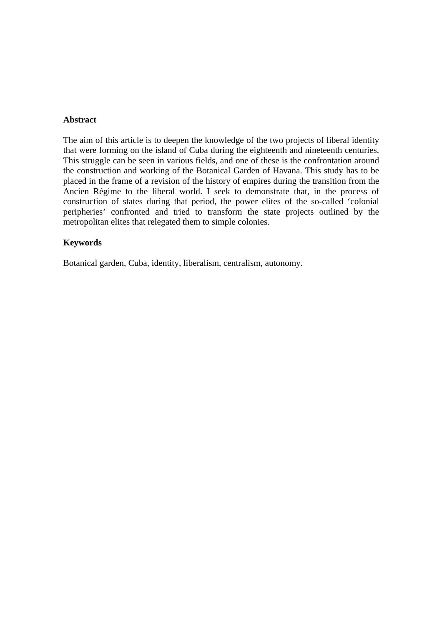#### **Abstract**

The aim of this article is to deepen the knowledge of the two projects of liberal identity that were forming on the island of Cuba during the eighteenth and nineteenth centuries. This struggle can be seen in various fields, and one of these is the confrontation around the construction and working of the Botanical Garden of Havana. This study has to be placed in the frame of a revision of the history of empires during the transition from the Ancien Régime to the liberal world. I seek to demonstrate that, in the process of construction of states during that period, the power elites of the so-called 'colonial peripheries' confronted and tried to transform the state projects outlined by the metropolitan elites that relegated them to simple colonies.

## **Keywords**

Botanical garden, Cuba, identity, liberalism, centralism, autonomy.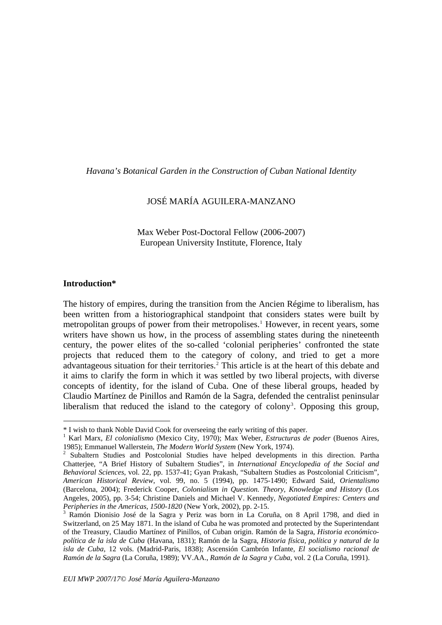<span id="page-6-0"></span>*Havana's Botanical Garden in the Construction of Cuban National Identity* 

## JOSÉ MARÍA AGUILERA-MANZANO

Max Weber Post-Doctoral Fellow (2006-2007) European University Institute, Florence, Italy

#### **Introduction\***

 $\overline{a}$ 

The history of empires, during the transition from the Ancien Régime to liberalism, has been written from a historiographical standpoint that considers states were built by metropolitan groups of power from their metropolises.<sup>[1](#page-6-0)</sup> However, in recent years, some writers have shown us how, in the process of assembling states during the nineteenth century, the power elites of the so-called 'colonial peripheries' confronted the state projects that reduced them to the category of colony, and tried to get a more advantageous situation for their territories.<sup>[2](#page-6-0)</sup> This article is at the heart of this debate and it aims to clarify the form in which it was settled by two liberal projects, with diverse concepts of identity, for the island of Cuba. One of these liberal groups, headed by Claudio Martínez de Pinillos and Ramón de la Sagra, defended the centralist peninsular liberalism that reduced the island to the category of colony<sup>[3](#page-6-0)</sup>. Opposing this group,

<sup>\*</sup> I wish to thank Noble David Cook for overseeing the early writing of this paper.

<sup>1</sup> Karl Marx, *El colonialismo* (Mexico City, 1970); Max Weber, *Estructuras de poder* (Buenos Aires,

<sup>1985);</sup> Emmanuel Wallerstein, *The Modern World System* (New York, 1974).<br><sup>2</sup> Subaltern Studies and Postcolonial Studies have helped developments in this direction. Partha Chatterjee, "A Brief History of Subaltern Studies", in *International Encyclopedia of the Social and Behavioral Sciences*, vol. 22, pp. 1537-41; Gyan Prakash, "Subaltern Studies as Postcolonial Criticism", *American Historical Review*, vol. 99, no. 5 (1994), pp. 1475-1490; Edward Said, *Orientalismo* (Barcelona, 2004); Frederick Cooper, *Colonialism in Question. Theory, Knowledge and History* (Los Angeles, 2005), pp. 3-54; Christine Daniels and Michael V. Kennedy, *Negotiated Empires: Centers and Peripheries in the Americas, 1500-1820* (New York, 2002), pp. 2-15.

<sup>&</sup>lt;sup>3</sup> Ramón Dionisio José de la Sagra y Periz was born in La Coruña, on 8 April 1798, and died in Switzerland, on 25 May 1871. In the island of Cuba he was promoted and protected by the Superintendant of the Treasury, Claudio Martínez of Pinillos, of Cuban origin. Ramón de la Sagra, *Historia económicopolítica de la isla de Cuba* (Havana, 1831); Ramón de la Sagra, *Historia física, política y natural de la isla de Cuba*, 12 vols. (Madrid-Paris, 1838); Ascensión Cambrón Infante, *El socialismo racional de Ramón de la Sagra* (La Coruña, 1989); VV.AA., *Ramón de la Sagra y Cuba*, vol. 2 (La Coruña, 1991).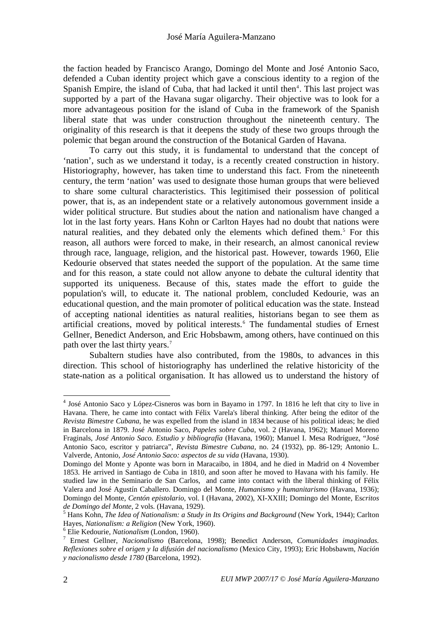<span id="page-7-0"></span>the faction headed by Francisco Arango, Domingo del Monte and José Antonio Saco, defended a Cuban identity project which gave a conscious identity to a region of the Spanish Empire, the island of Cuba, that had lacked it until then<sup>[4](#page-7-0)</sup>. This last project was supported by a part of the Havana sugar oligarchy. Their objective was to look for a more advantageous position for the island of Cuba in the framework of the Spanish liberal state that was under construction throughout the nineteenth century. The originality of this research is that it deepens the study of these two groups through the polemic that began around the construction of the Botanical Garden of Havana.

 To carry out this study, it is fundamental to understand that the concept of 'nation', such as we understand it today, is a recently created construction in history. Historiography, however, has taken time to understand this fact. From the nineteenth century, the term 'nation' was used to designate those human groups that were believed to share some cultural characteristics. This legitimised their possession of political power, that is, as an independent state or a relatively autonomous government inside a wider political structure. But studies about the nation and nationalism have changed a lot in the last forty years. Hans Kohn or Carlton Hayes had no doubt that nations were natural realities, and they debated only the elements which defined them.<sup>[5](#page-7-0)</sup> For this reason, all authors were forced to make, in their research, an almost canonical review through race, language, religion, and the historical past. However, towards 1960, Elie Kedourie observed that states needed the support of the population. At the same time and for this reason, a state could not allow anyone to debate the cultural identity that supported its uniqueness. Because of this, states made the effort to guide the population's will, to educate it. The national problem, concluded Kedourie, was an educational question, and the main promoter of political education was the state. Instead of accepting national identities as natural realities, historians began to see them as artificial creations, moved by political interests.<sup>[6](#page-7-0)</sup> The fundamental studies of Ernest Gellner, Benedict Anderson, and Eric Hobsbawm, among others, have continued on this path over the last thirty years.<sup>[7](#page-7-0)</sup>

 Subaltern studies have also contributed, from the 1980s, to advances in this direction. This school of historiography has underlined the relative historicity of the state-nation as a political organisation. It has allowed us to understand the history of

<sup>&</sup>lt;sup>4</sup> José Antonio Saco y López-Cisneros was born in Bayamo in 1797. In 1816 he left that city to live in Havana. There, he came into contact with Félix Varela's liberal thinking. After being the editor of the *Revista Bimestre Cubana*, he was expelled from the island in 1834 because of his political ideas; he died in Barcelona in 1879. José Antonio Saco, *Papeles sobre Cuba*, vol. 2 (Havana, 1962); Manuel Moreno Fraginals, *José Antonio Saco. Estudio y bibliografía* (Havana, 1960); Manuel I. Mesa Rodríguez, "José Antonio Saco, escritor y patriarca", *Revista Bimestre Cubana,* no. 24 (1932), pp. 86-129; Antonio L. Valverde, Antonio, *José Antonio Saco: aspectos de su vida* (Havana, 1930).

Domingo del Monte y Aponte was born in Maracaibo, in 1804, and he died in Madrid on 4 November 1853. He arrived in Santiago de Cuba in 1810, and soon after he moved to Havana with his family. He studied law in the Seminario de San Carlos, and came into contact with the liberal thinking of Félix Valera and José Agustín Caballero. Domingo del Monte, *Humanismo y humanitarismo* (Havana, 1936); Domingo del Monte, *Centón epistolario*, vol. I (Havana, 2002), XI-XXIII; Domingo del Monte, Es*critos de Domingo del Monte*, 2 vols. (Havana, 1929).

Hans Kohn, *The Idea of Nationalism: a Study in Its Origins and Background* (New York, 1944); Carlton Hayes, *Nationalism: a Religion* (New York, 1960).

Elie Kedourie, *Nationalism* (London, 1960). 7

Ernest Gellner, *Nacionalismo* (Barcelona, 1998); Benedict Anderson, *Comunidades imaginadas. Reflexiones sobre el origen y la difusión del nacionalismo* (Mexico City, 1993); Eric Hobsbawm, *Nación y nacionalismo desde 1780* (Barcelona, 1992).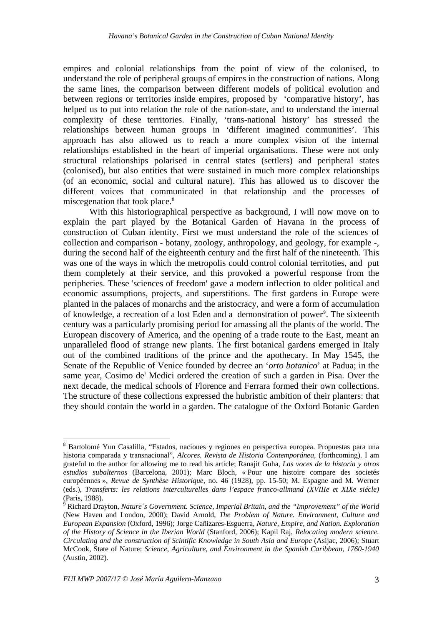<span id="page-8-0"></span>empires and colonial relationships from the point of view of the colonised, to understand the role of peripheral groups of empires in the construction of nations. Along the same lines, the comparison between different models of political evolution and between regions or territories inside empires, proposed by 'comparative history', has helped us to put into relation the role of the nation-state, and to understand the internal complexity of these territories. Finally, 'trans-national history' has stressed the relationships between human groups in 'different imagined communities'. This approach has also allowed us to reach a more complex vision of the internal relationships established in the heart of imperial organisations. These were not only structural relationships polarised in central states (settlers) and peripheral states (colonised), but also entities that were sustained in much more complex relationships (of an economic, social and cultural nature). This has allowed us to discover the different voices that communicated in that relationship and the processes of miscegenation that took place.<sup>8</sup>

With this historiographical perspective as background, I will now move on to explain the part played by the Botanical Garden of Havana in the process of construction of Cuban identity. First we must understand the role of the sciences of collection and comparison - botany, zoology, anthropology, and geology, for example -, during the second half of the eighteenth century and the first half of the nineteenth. This was one of the ways in which the metropolis could control colonial territoties, and put them completely at their service, and this provoked a powerful response from the peripheries. These 'sciences of freedom' gave a modern inflection to older political and economic assumptions, projects, and superstitions. The first gardens in Europe were planted in the palaces of monarchs and the aristocracy, and were a form of accumulation of knowledge, a recreation of a lost Eden and a demonstration of power<sup>[9](#page-8-0)</sup>. The sixteenth century was a particularly promising period for amassing all the plants of the world. The European discovery of America, and the opening of a trade route to the East, meant an unparalleled flood of strange new plants. The first botanical gardens emerged in Italy out of the combined traditions of the prince and the apothecary. In May 1545, the Senate of the Republic of Venice founded by decree an '*orto botanico*' at Padua; in the same year, Cosimo de' Medici ordered the creation of such a garden in Pisa. Over the next decade, the medical schools of Florence and Ferrara formed their own collections. The structure of these collections expressed the hubristic ambition of their planters: that they should contain the world in a garden. The catalogue of the Oxford Botanic Garden

<sup>&</sup>lt;sup>8</sup> Bartolomé Yun Casalilla, "Estados, naciones y regiones en perspectiva europea. Propuestas para una historia comparada y transnacional", *Alcores. Revista de Historia Contemporánea*, (forthcoming). I am grateful to the author for allowing me to read his article; Ranajit Guha, *Las voces de la historia y otros estudios subalternos* (Barcelona, 2001); Marc Bloch, « Pour une histoire compare des societés européennes », *Revue de Synthèse Historique*, no. 46 (1928), pp. 15-50; M. Espagne and M. Werner (eds.), *Transferts: les relations interculturelles dans l'espace franco-allmand (XVIIIe et XIXe siécle)* (Paris, 1988).

<sup>9</sup> Richard Drayton, *Nature´s Government. Science, Imperial Britain, and the "Improvement" of the World* (New Haven and London, 2000); David Arnold, *The Problem of Nature. Environment, Culture and European Expansion* (Oxford, 1996); Jorge Cañizares-Esguerra, *Nature, Empire, and Nation. Exploration of the History of Science in the Iberian World* (Stanford, 2006); Kapil Raj, *Relocating modern science. Circulating and the construction of Scintific Knowledge in South Asia and Europe* (Asijac, 2006); Stuart McCook, State of Nature: *Science, Agriculture, and Environment in the Spanish Caribbean, 1760-1940* (Austin, 2002).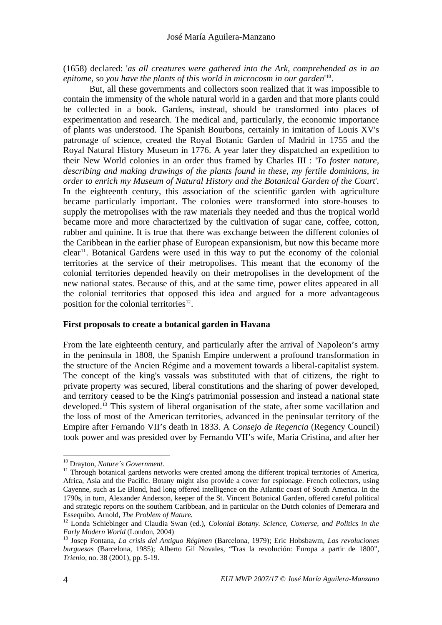<span id="page-9-0"></span>(1658) declared: '*as all creatures were gathered into the Ark, comprehended as in an epitome, so you have the plants of this world in microcosm in our garden*' [10](#page-9-0).

But, all these governments and collectors soon realized that it was impossible to contain the immensity of the whole natural world in a garden and that more plants could be collected in a book. Gardens, instead, should be transformed into places of experimentation and research. The medical and, particularly, the economic importance of plants was understood. The Spanish Bourbons, certainly in imitation of Louis XV's patronage of science, created the Royal Botanic Garden of Madrid in 1755 and the Royal Natural History Museum in 1776. A year later they dispatched an expedition to their New World colonies in an order thus framed by Charles III : '*To foster nature, describing and making drawings of the plants found in these, my fertile dominions, in order to enrich my Museum of Natural History and the Botanical Garden of the Court*'. In the eighteenth century, this association of the scientific garden with agriculture became particularly important. The colonies were transformed into store-houses to supply the metropolises with the raw materials they needed and thus the tropical world became more and more characterized by the cultivation of sugar cane, coffee, cotton, rubber and quinine. It is true that there was exchange between the different colonies of the Caribbean in the earlier phase of European expansionism, but now this became more  $clear<sup>11</sup>$  $clear<sup>11</sup>$  $clear<sup>11</sup>$ . Botanical Gardens were used in this way to put the economy of the colonial territories at the service of their metropolises. This meant that the economy of the colonial territories depended heavily on their metropolises in the development of the new national states. Because of this, and at the same time, power elites appeared in all the colonial territories that opposed this idea and argued for a more advantageous position for the colonial territories<sup>[12](#page-9-0)</sup>.

#### **First proposals to create a botanical garden in Havana**

From the late eighteenth century, and particularly after the arrival of Napoleon's army in the peninsula in 1808, the Spanish Empire underwent a profound transformation in the structure of the Ancien Régime and a movement towards a liberal-capitalist system. The concept of the king's vassals was substituted with that of citizens, the right to private property was secured, liberal constitutions and the sharing of power developed, and territory ceased to be the King's patrimonial possession and instead a national state developed.<sup>[13](#page-9-0)</sup> This system of liberal organisation of the state, after some vacillation and the loss of most of the American territories, advanced in the peninsular territory of the Empire after Fernando VII's death in 1833. A *Consejo de Regencia* (Regency Council) took power and was presided over by Fernando VII's wife, María Cristina, and after her

<sup>&</sup>lt;sup>10</sup> Drayton, *Nature's Government*.<br><sup>11</sup> Through botanical gardens networks were created among the different tropical territories of America, Africa, Asia and the Pacific. Botany might also provide a cover for espionage. French collectors, using Cayenne, such as Le Blond, had long offered intelligence on the Atlantic coast of South America. In the 1790s, in turn, Alexander Anderson, keeper of the St. Vincent Botanical Garden, offered careful political and strategic reports on the southern Caribbean, and in particular on the Dutch colonies of Demerara and Essequibo. Arnold, *The Problem of Nature*.

<sup>&</sup>lt;sup>12</sup> Londa Schiebinger and Claudia Swan (ed.), *Colonial Botany. Science, Comerse, and Politics in the Early Modern World* (London, 2004)

<sup>&</sup>lt;sup>13</sup> Josep Fontana, *La crisis del Antiguo Régimen* (Barcelona, 1979); Eric Hobsbawm, *Las revoluciones burguesas* (Barcelona, 1985); Alberto Gil Novales, "Tras la revolución: Europa a partir de 1800", *Trienio*, no. 38 (2001), pp. 5-19.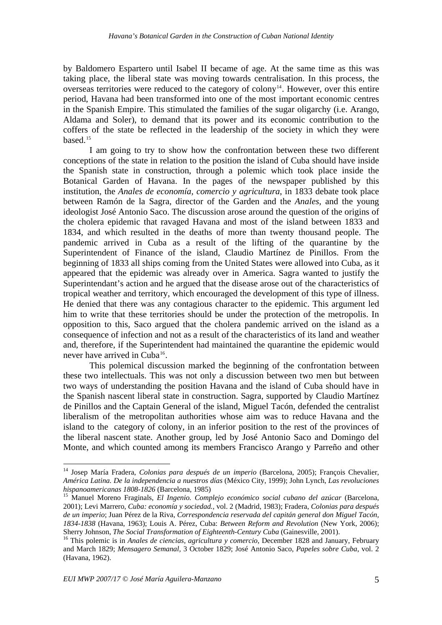<span id="page-10-0"></span>by Baldomero Espartero until Isabel II became of age. At the same time as this was taking place, the liberal state was moving towards centralisation. In this process, the overseas territories were reduced to the category of colony<sup>14</sup>. However, over this entire period, Havana had been transformed into one of the most important economic centres in the Spanish Empire. This stimulated the families of the sugar oligarchy (i.e. Arango, Aldama and Soler), to demand that its power and its economic contribution to the coffers of the state be reflected in the leadership of the society in which they were based.[15](#page-10-0)

I am going to try to show how the confrontation between these two different conceptions of the state in relation to the position the island of Cuba should have inside the Spanish state in construction, through a polemic which took place inside the Botanical Garden of Havana. In the pages of the newspaper published by this institution, the *Anales de economía, comercio y agricultura*, in 1833 debate took place between Ramón de la Sagra, director of the Garden and the *Anales*, and the young ideologist José Antonio Saco. The discussion arose around the question of the origins of the cholera epidemic that ravaged Havana and most of the island between 1833 and 1834, and which resulted in the deaths of more than twenty thousand people. The pandemic arrived in Cuba as a result of the lifting of the quarantine by the Superintendent of Finance of the island, Claudio Martínez de Pinillos. From the beginning of 1833 all ships coming from the United States were allowed into Cuba, as it appeared that the epidemic was already over in America. Sagra wanted to justify the Superintendant's action and he argued that the disease arose out of the characteristics of tropical weather and territory, which encouraged the development of this type of illness. He denied that there was any contagious character to the epidemic. This argument led him to write that these territories should be under the protection of the metropolis. In opposition to this, Saco argued that the cholera pandemic arrived on the island as a consequence of infection and not as a result of the characteristics of its land and weather and, therefore, if the Superintendent had maintained the quarantine the epidemic would never have arrived in Cuba $^{16}$  $^{16}$  $^{16}$ .

This polemical discussion marked the beginning of the confrontation between these two intellectuals. This was not only a discussion between two men but between two ways of understanding the position Havana and the island of Cuba should have in the Spanish nascent liberal state in construction. Sagra, supported by Claudio Martínez de Pinillos and the Captain General of the island, Miguel Tacón, defended the centralist liberalism of the metropolitan authorities whose aim was to reduce Havana and the island to the category of colony, in an inferior position to the rest of the provinces of the liberal nascent state. Another group, led by José Antonio Saco and Domingo del Monte, and which counted among its members Francisco Arango y Parreño and other

<sup>14</sup> Josep María Fradera, *Colonias para después de un imperio* (Barcelona, 2005); François Chevalier, *América Latina. De la independencia a nuestros días* (México City, 1999); John Lynch, *Las revoluciones* 

*hispanoamericanas 1808-1826* (Barcelona, 1985) 15 Manuel Moreno Fraginals, *El Ingenio. Complejo económico social cubano del azúcar* (Barcelona, 2001); Levi Marrero, *Cuba: economía y sociedad.,* vol. 2 (Madrid, 1983); Fradera, *Colonias para después de un imperio*; Juan Pérez de la Riva, *Correspondencia reservada del capitán general don Miguel Tacón, 1834-1838* (Havana, 1963); Louis A. Pérez, Cuba: *Between Reform and Revolution* (New York, 2006);

<sup>&</sup>lt;sup>16</sup> This polemic is in *Anales de ciencias, agricultura y comercio*, December 1828 and January, February and March 1829; *Mensagero Semanal,* 3 October 1829; José Antonio Saco, *Papeles sobre Cuba*, vol. 2 (Havana, 1962).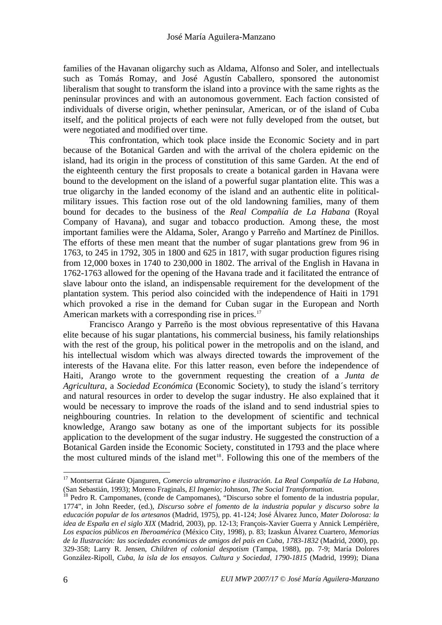<span id="page-11-0"></span>families of the Havanan oligarchy such as Aldama, Alfonso and Soler, and intellectuals such as Tomás Romay, and José Agustín Caballero, sponsored the autonomist liberalism that sought to transform the island into a province with the same rights as the peninsular provinces and with an autonomous government. Each faction consisted of individuals of diverse origin, whether peninsular, American, or of the island of Cuba itself, and the political projects of each were not fully developed from the outset, but were negotiated and modified over time.

This confrontation, which took place inside the Economic Society and in part because of the Botanical Garden and with the arrival of the cholera epidemic on the island, had its origin in the process of constitution of this same Garden. At the end of the eighteenth century the first proposals to create a botanical garden in Havana were bound to the development on the island of a powerful sugar plantation elite. This was a true oligarchy in the landed economy of the island and an authentic elite in politicalmilitary issues. This faction rose out of the old landowning families, many of them bound for decades to the business of the *Real Compañía de La Habana* (Royal Company of Havana), and sugar and tobacco production. Among these, the most important families were the Aldama, Soler, Arango y Parreño and Martínez de Pinillos. The efforts of these men meant that the number of sugar plantations grew from 96 in 1763, to 245 in 1792, 305 in 1800 and 625 in 1817, with sugar production figures rising from 12,000 boxes in 1740 to 230,000 in 1802. The arrival of the English in Havana in 1762-1763 allowed for the opening of the Havana trade and it facilitated the entrance of slave labour onto the island, an indispensable requirement for the development of the plantation system. This period also coincided with the independence of Haiti in 1791 which provoked a rise in the demand for Cuban sugar in the European and North American markets with a corresponding rise in prices.<sup>[17](#page-11-0)</sup>

Francisco Arango y Parreño is the most obvious representative of this Havana elite because of his sugar plantations, his commercial business, his family relationships with the rest of the group, his political power in the metropolis and on the island, and his intellectual wisdom which was always directed towards the improvement of the interests of the Havana elite. For this latter reason, even before the independence of Haiti, Arango wrote to the government requesting the creation of a *Junta de Agricultura*, a *Sociedad Económica* (Economic Society), to study the island´s territory and natural resources in order to develop the sugar industry. He also explained that it would be necessary to improve the roads of the island and to send industrial spies to neighbouring countries. In relation to the development of scientific and technical knowledge, Arango saw botany as one of the important subjects for its possible application to the development of the sugar industry. He suggested the construction of a Botanical Garden inside the Economic Society, constituted in 1793 and the place where the most cultured minds of the island met $18$ . Following this one of the members of the

<sup>17</sup> Montserrat Gárate Ojanguren, *Comercio ultramarino e ilustración. La Real Compañía de La Habana*, (San Sebastián, 1993); Moreno Fraginals, *El Ingenio*; Johnson, *The Social Transformation*. 18 Pedro R. Campomanes, (conde de Campomanes), "Discurso sobre el fomento de la industria popular,

<sup>1774&</sup>quot;, in John Reeder, (ed.), *Discurso sobre el fomento de la industria popular y discurso sobre la educación popular de los artesanos* (Madrid, 1975), pp. 41-124; José Álvarez Junco, *Mater Dolorosa: la idea de España en el siglo XIX* (Madrid, 2003), pp. 12-13; François-Xavier Guerra y Annick Lempérière, *Los espacios públicos en Iberoamérica* (México City, 1998), p. 83; Izaskun Álvarez Cuartero, *Memorias de la Ilustración: las sociedades económicas de amigos del país en Cuba, 1783-1832* (Madrid, 2000), pp. 329-358; Larry R. Jensen, *Children of colonial despotism* (Tampa, 1988), pp. 7-9; María Dolores González-Ripoll, *Cuba, la isla de los ensayos. Cultura y Sociedad, 1790-1815* (Madrid, 1999); Diana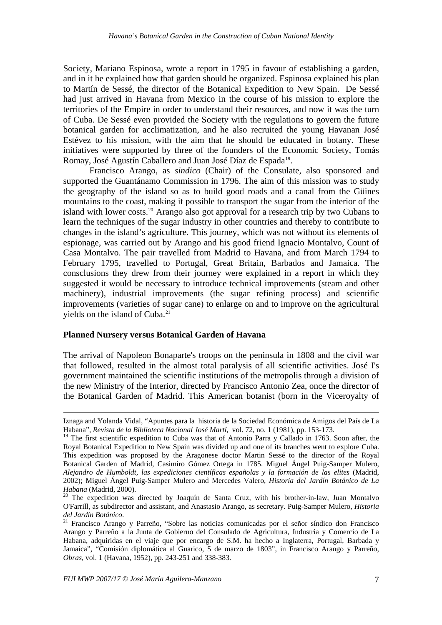<span id="page-12-0"></span>Society, Mariano Espinosa, wrote a report in 1795 in favour of establishing a garden, and in it he explained how that garden should be organized. Espinosa explained his plan to Martín de Sessé, the director of the Botanical Expedition to New Spain. De Sessé had just arrived in Havana from Mexico in the course of his mission to explore the territories of the Empire in order to understand their resources, and now it was the turn of Cuba. De Sessé even provided the Society with the regulations to govern the future botanical garden for acclimatization, and he also recruited the young Havanan José Estévez to his mission, with the aim that he should be educated in botany. These initiatives were supported by three of the founders of the Economic Society, Tomás Romay, José Agustín Caballero and Juan José Díaz de Espada<sup>[19](#page-12-0)</sup>.

Francisco Arango, as *sindico* (Chair) of the Consulate, also sponsored and supported the Guantánamo Commission in 1796. The aim of this mission was to study the geography of the island so as to build good roads and a canal from the Güines mountains to the coast, making it possible to transport the sugar from the interior of the island with lower costs.<sup>[20](#page-12-0)</sup> Arango also got approval for a research trip by two Cubans to learn the techniques of the sugar industry in other countries and thereby to contribute to changes in the island's agriculture. This journey, which was not without its elements of espionage, was carried out by Arango and his good friend Ignacio Montalvo, Count of Casa Montalvo. The pair travelled from Madrid to Havana, and from March 1794 to February 1795, travelled to Portugal, Great Britain, Barbados and Jamaica. The consclusions they drew from their journey were explained in a report in which they suggested it would be necessary to introduce technical improvements (steam and other machinery), industrial improvements (the sugar refining process) and scientific improvements (varieties of sugar cane) to enlarge on and to improve on the agricultural yields on the island of Cuba.<sup>[21](#page-12-0)</sup>

#### **Planned Nursery versus Botanical Garden of Havana**

The arrival of Napoleon Bonaparte's troops on the peninsula in 1808 and the civil war that followed, resulted in the almost total paralysis of all scientific activities. José I's government maintained the scientific institutions of the metropolis through a division of the new Ministry of the Interior, directed by Francisco Antonio Zea, once the director of the Botanical Garden of Madrid. This American botanist (born in the Viceroyalty of

Iznaga and Yolanda Vidal, "Apuntes para la historia de la Sociedad Económica de Amigos del País de La Habana", *Revista de la Biblioteca Nacional José Martí*, vol. 72, no. 1 (1981), pp. 153-173.

<sup>&</sup>lt;sup>19</sup> The first scientific expedition to Cuba was that of Antonio Parra y Callado in 1763. Soon after, the Royal Botanical Expedition to New Spain was divided up and one of its branches went to explore Cuba. This expedition was proposed by the Aragonese doctor Martin Sessé to the director of the Royal Botanical Garden of Madrid, Casimiro Gómez Ortega in 1785. Miguel Ángel Puig-Samper Mulero, *Alejandro de Humboldt, las expediciones científicas españolas y la formación de las elites* (Madrid, 2002); Miguel Ángel Puig-Samper Mulero and Mercedes Valero, *Historia del Jardín Botánico de La* 

*Habana* (Madrid, 2000).<br><sup>20</sup> The expedition was directed by Joaquín de Santa Cruz, with his brother-in-law, Juan Montalvo O'Farrill, as subdirector and assistant, and Anastasio Arango, as secretary. Puig-Samper Mulero, *Historia* 

*del Jardín Botánico*. 21 Francisco Arango y Parreño, "Sobre las noticias comunicadas por el señor síndico don Francisco Arango y Parreño a la Junta de Gobierno del Consulado de Agricultura, Industria y Comercio de La Habana, adquiridas en el viaje que por encargo de S.M. ha hecho a Inglaterra, Portugal, Barbada y Jamaica", "Comisión diplomática al Guarico, 5 de marzo de 1803", in Francisco Arango y Parreño, *Obras*, vol. 1 (Havana, 1952), pp. 243-251 and 338-383.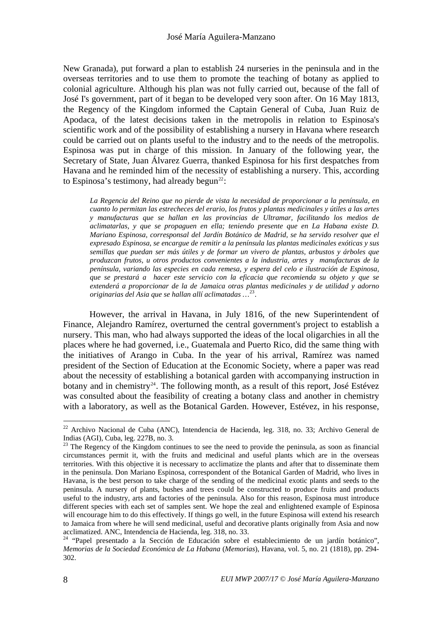<span id="page-13-0"></span>New Granada), put forward a plan to establish 24 nurseries in the peninsula and in the overseas territories and to use them to promote the teaching of botany as applied to colonial agriculture. Although his plan was not fully carried out, because of the fall of José I's government, part of it began to be developed very soon after. On 16 May 1813, the Regency of the Kingdom informed the Captain General of Cuba, Juan Ruiz de Apodaca, of the latest decisions taken in the metropolis in relation to Espinosa's scientific work and of the possibility of establishing a nursery in Havana where research could be carried out on plants useful to the industry and to the needs of the metropolis. Espinosa was put in charge of this mission. In January of the following year, the Secretary of State, Juan Álvarez Guerra, thanked Espinosa for his first despatches from Havana and he reminded him of the necessity of establishing a nursery. This, according to Espinosa's testimony, had already begun<sup>[22](#page-13-0)</sup>:

*La Regencia del Reino que no pierde de vista la necesidad de proporcionar a la península, en cuanto lo permitan las estrecheces del erario, los frutos y plantas medicinales y útiles a las artes y manufacturas que se hallan en las provincias de Ultramar, facilitando los medios de aclimatarlas, y que se propaguen en ella; teniendo presente que en La Habana existe D. Mariano Espinosa, corresponsal del Jardín Botánico de Madrid, se ha servido resolver que el expresado Espinosa, se encargue de remitir a la península las plantas medicinales exóticas y sus semillas que puedan ser más útiles y de formar un vivero de plantas, arbustos y árboles que produzcan frutos, u otros productos convenientes a la industria, artes y manufacturas de la península, variando las especies en cada remesa, y espera del celo e ilustración de Espinosa, que se prestará a hacer este servicio con la eficacia que recomienda su objeto y que se extenderá a proporcionar de la de Jamaica otras plantas medicinales y de utilidad y adorno originarias del Asia que se hallan allí aclimatadas …*[23](#page-13-0).

 However, the arrival in Havana, in July 1816, of the new Superintendent of Finance, Alejandro Ramírez, overturned the central government's project to establish a nursery. This man, who had always supported the ideas of the local oligarchies in all the places where he had governed, i.e., Guatemala and Puerto Rico, did the same thing with the initiatives of Arango in Cuba. In the year of his arrival, Ramírez was named president of the Section of Education at the Economic Society, where a paper was read about the necessity of establishing a botanical garden with accompanying instruction in botany and in chemistry<sup>[24](#page-13-0)</sup>. The following month, as a result of this report, José Estévez was consulted about the feasibility of creating a botany class and another in chemistry with a laboratory, as well as the Botanical Garden. However, Estévez, in his response,

 $22$  Archivo Nacional de Cuba (ANC), Intendencia de Hacienda, leg. 318, no. 33; Archivo General de Indias (AGI), Cuba, leg. 227B, no. 3.<br><sup>23</sup> The Regency of the Kingdom continues to see the need to provide the peninsula, as soon as financial

circumstances permit it, with the fruits and medicinal and useful plants which are in the overseas territories. With this objective it is necessary to acclimatize the plants and after that to disseminate them in the peninsula. Don Mariano Espinosa, correspondent of the Botanical Garden of Madrid, who lives in Havana, is the best person to take charge of the sending of the medicinal exotic plants and seeds to the peninsula. A nursery of plants, bushes and trees could be constructed to produce fruits and products useful to the industry, arts and factories of the peninsula. Also for this reason, Espinosa must introduce different species with each set of samples sent. We hope the zeal and enlightened example of Espinosa will encourage him to do this effectively. If things go well, in the future Espinosa will extend his research to Jamaica from where he will send medicinal, useful and decorative plants originally from Asia and now acclimatized. ANC, Intendencia de Hacienda, leg. 318, no. 33.

<sup>&</sup>lt;sup>24</sup> "Papel presentado a la Sección de Educación sobre el establecimiento de un jardín botánico", *Memorias de la Sociedad Económica de La Habana* (*Memorias*), Havana, vol. 5, no. 21 (1818), pp. 294- 302.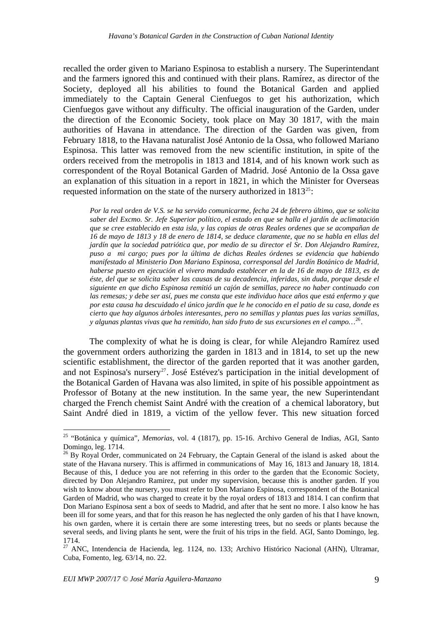<span id="page-14-0"></span>recalled the order given to Mariano Espinosa to establish a nursery. The Superintendant and the farmers ignored this and continued with their plans. Ramírez, as director of the Society, deployed all his abilities to found the Botanical Garden and applied immediately to the Captain General Cienfuegos to get his authorization, which Cienfuegos gave without any difficulty. The official inauguration of the Garden, under the direction of the Economic Society, took place on May 30 1817, with the main authorities of Havana in attendance. The direction of the Garden was given, from February 1818, to the Havana naturalist José Antonio de la Ossa, who followed Mariano Espinosa. This latter was removed from the new scientific institution, in spite of the orders received from the metropolis in 1813 and 1814, and of his known work such as correspondent of the Royal Botanical Garden of Madrid. José Antonio de la Ossa gave an explanation of this situation in a report in 1821, in which the Minister for Overseas requested information on the state of the nursery authorized in  $1813^{25}$  $1813^{25}$  $1813^{25}$ :

*Por la real orden de V.S. se ha servido comunicarme, fecha 24 de febrero último, que se solicita saber del Excmo. Sr. Jefe Superior político, el estado en que se halla el jardín de aclimatación que se cree establecido en esta isla, y las copias de otras Reales ordenes que se acompañan de 16 de mayo de 1813 y 18 de enero de 1814, se deduce claramente, que no se habla en ellas del jardín que la sociedad patriótica que, por medio de su director el Sr. Don Alejandro Ramírez, puso a mi cargo; pues por la última de dichas Reales órdenes se evidencia que habiendo manifestado al Ministerio Don Mariano Espinosa, corresponsal del Jardín Botánico de Madrid, haberse puesto en ejecución el vivero mandado establecer en la de 16 de mayo de 1813, es de éste, del que se solicita saber las causas de su decadencia, inferidas, sin duda, porque desde el siguiente en que dicho Espinosa remitió un cajón de semillas, parece no haber continuado con las remesas; y debe ser así, pues me consta que este individuo hace años que está enfermo y que por esta causa ha descuidado el único jardín que le he conocido en el patio de su casa, donde es cierto que hay algunos árboles interesantes, pero no semillas y plantas pues las varias semillas, y algunas plantas vivas que ha remitido, han sido fruto de sus excursiones en el campo…*[26](#page-14-0).

The complexity of what he is doing is clear, for while Alejandro Ramírez used the government orders authorizing the garden in 1813 and in 1814, to set up the new scientific establishment, the director of the garden reported that it was another garden, and not Espinosa's nursery<sup>[27](#page-14-0)</sup>. José Estévez's participation in the initial development of the Botanical Garden of Havana was also limited, in spite of his possible appointment as Professor of Botany at the new institution. In the same year, the new Superintendant charged the French chemist Saint André with the creation of a chemical laboratory, but Saint André died in 1819, a victim of the yellow fever. This new situation forced

<sup>25 &</sup>quot;Botánica y química", *Memorias*, vol. 4 (1817), pp. 15-16. Archivo General de Indias, AGI, Santo Domingo, leg. 1714.

<sup>&</sup>lt;sup>26</sup> By Royal Order, communicated on 24 February, the Captain General of the island is asked about the state of the Havana nursery. This is affirmed in communications of May 16, 1813 and January 18, 1814. Because of this, I deduce you are not referring in this order to the garden that the Economic Society, directed by Don Alejandro Ramirez, put under my supervision, because this is another garden. If you wish to know about the nursery, you must refer to Don Mariano Espinosa, correspondent of the Botanical Garden of Madrid, who was charged to create it by the royal orders of 1813 and 1814. I can confirm that Don Mariano Espinosa sent a box of seeds to Madrid, and after that he sent no more. I also know he has been ill for some years, and that for this reason he has neglected the only garden of his that I have known, his own garden, where it is certain there are some interesting trees, but no seeds or plants because the several seeds, and living plants he sent, were the fruit of his trips in the field. AGI, Santo Domingo, leg. 1714.

 $27$  ANC, Intendencia de Hacienda, leg. 1124, no. 133; Archivo Histórico Nacional (AHN), Ultramar, Cuba, Fomento, leg. 63/14, no. 22.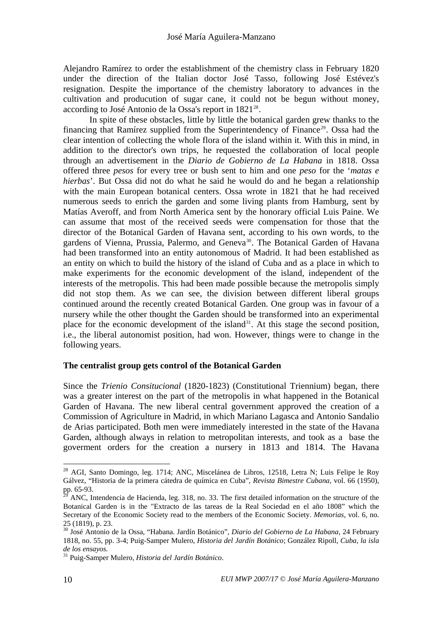<span id="page-15-0"></span>Alejandro Ramírez to order the establishment of the chemistry class in February 1820 under the direction of the Italian doctor José Tasso, following José Estévez's resignation. Despite the importance of the chemistry laboratory to advances in the cultivation and producution of sugar cane, it could not be begun without money, according to José Antonio de la Ossa's report in 1821<sup>[28](#page-15-0)</sup>.

In spite of these obstacles, little by little the botanical garden grew thanks to the financing that Ramírez supplied from the Superintendency of Finance<sup>[29](#page-15-0)</sup>. Ossa had the clear intention of collecting the whole flora of the island within it. With this in mind, in addition to the director's own trips, he requested the collaboration of local people through an advertisement in the *Diario de Gobierno de La Habana* in 1818. Ossa offered three *pesos* for every tree or bush sent to him and one *peso* for the '*matas e hierbas*'. But Ossa did not do what he said he would do and he began a relationship with the main European botanical centers. Ossa wrote in 1821 that he had received numerous seeds to enrich the garden and some living plants from Hamburg, sent by Matías Averoff, and from North America sent by the honorary official Luis Paine. We can assume that most of the received seeds were compensation for those that the director of the Botanical Garden of Havana sent, according to his own words, to the gardens of Vienna, Prussia, Palermo, and Geneva<sup>[30](#page-15-0)</sup>. The Botanical Garden of Havana had been transformed into an entity autonomous of Madrid. It had been established as an entity on which to build the history of the island of Cuba and as a place in which to make experiments for the economic development of the island, independent of the interests of the metropolis. This had been made possible because the metropolis simply did not stop them. As we can see, the division between different liberal groups continued around the recently created Botanical Garden. One group was in favour of a nursery while the other thought the Garden should be transformed into an experimental place for the economic development of the island<sup>[31](#page-15-0)</sup>. At this stage the second position, i.e., the liberal autonomist position, had won. However, things were to change in the following years.

#### **The centralist group gets control of the Botanical Garden**

Since the *Trienio Consitucional* (1820-1823) (Constitutional Triennium) began, there was a greater interest on the part of the metropolis in what happened in the Botanical Garden of Havana. The new liberal central government approved the creation of a Commission of Agriculture in Madrid, in which Mariano Lagasca and Antonio Sandalio de Arias participated. Both men were immediately interested in the state of the Havana Garden, although always in relation to metropolitan interests, and took as a base the goverment orders for the creation a nursery in 1813 and 1814. The Havana

<sup>&</sup>lt;sup>28</sup> AGI, Santo Domingo, leg. 1714; ANC, Miscelánea de Libros, 12518, Letra N; Luis Felipe le Roy Gálvez, "Historia de la primera cátedra de química en Cuba", *Revista Bimestre Cubana*, vol. 66 (1950), pp.  $65-93$ .

<sup>29</sup> ANC, Intendencia de Hacienda, leg. 318, no. 33. The first detailed information on the structure of the Botanical Garden is in the "Extracto de las tareas de la Real Sociedad en el año 1808" which the Secretary of the Economic Society read to the members of the Economic Society. *Memorias*, vol. 6, no. 25 (1819), p. 23.

<sup>30</sup> José Antonio de la Ossa, "Habana. Jardín Botánico", *Diario del Gobierno de La Habana*, 24 February 1818, no. 55, pp. 3-4; Puig-Samper Mulero, *Historia del Jardín Botánico*; González Ripoll, *Cuba, la isla de los ensayos.*

<sup>31</sup> Puig-Samper Mulero, *Historia del Jardín Botánico*.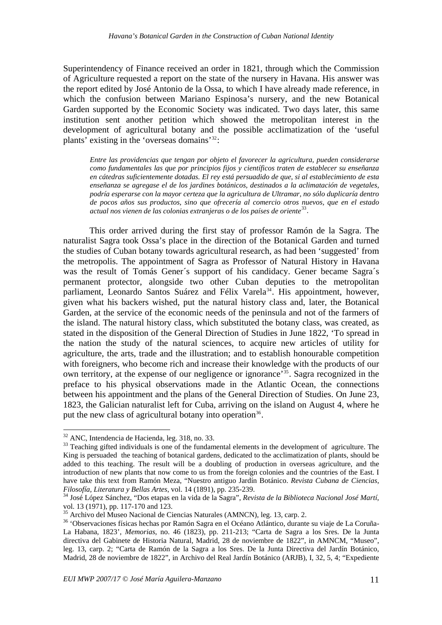<span id="page-16-0"></span>Superintendency of Finance received an order in 1821, through which the Commission of Agriculture requested a report on the state of the nursery in Havana. His answer was the report edited by José Antonio de la Ossa, to which I have already made reference, in which the confusion between Mariano Espinosa's nursery, and the new Botanical Garden supported by the Economic Society was indicated. Two days later, this same institution sent another petition which showed the metropolitan interest in the development of agricultural botany and the possible acclimatization of the 'useful plants' existing in the 'overseas domains'[32](#page-16-0):

*Entre las providencias que tengan por objeto el favorecer la agricultura, pueden considerarse como fundamentales las que por principios fijos y científicos traten de establecer su enseñanza en cátedras suficientemente dotadas. El rey está persuadido de que, si al establecimiento de esta enseñanza se agregase el de los jardines botánicos, destinados a la aclimatación de vegetales, podría esperarse con la mayor certeza que la agricultura de Ultramar, no sólo duplicaría dentro de pocos años sus productos, sino que ofrecería al comercio otros nuevos, que en el estado actual nos vienen de las colonias extranjeras o de los países de oriente*[33](#page-16-0).

This order arrived during the first stay of professor Ramón de la Sagra. The naturalist Sagra took Ossa's place in the direction of the Botanical Garden and turned the studies of Cuban botany towards agricultural research, as had been 'suggested' from the metropolis. The appointment of Sagra as Professor of Natural History in Havana was the result of Tomás Gener´s support of his candidacy. Gener became Sagra´s permanent protector, alongside two other Cuban deputies to the metropolitan parliament, Leonardo Santos Suárez and Félix Varela<sup>[34](#page-16-0)</sup>. His appointment, however, given what his backers wished, put the natural history class and, later, the Botanical Garden, at the service of the economic needs of the peninsula and not of the farmers of the island. The natural history class, which substituted the botany class, was created, as stated in the disposition of the General Direction of Studies in June 1822, 'To spread in the nation the study of the natural sciences, to acquire new articles of utility for agriculture, the arts, trade and the illustration; and to establish honourable competition with foreigners, who become rich and increase their knowledge with the products of our own territory, at the expense of our negligence or ignorance'[35](#page-16-0). Sagra recognized in the preface to his physical observations made in the Atlantic Ocean, the connections between his appointment and the plans of the General Direction of Studies. On June 23, 1823, the Galician naturalist left for Cuba, arriving on the island on August 4, where he put the new class of agricultural botany into operation<sup>[36](#page-16-0)</sup>.

 $32$  ANC, Intendencia de Hacienda, leg. 318, no. 33.

<sup>&</sup>lt;sup>33</sup> Teaching gifted individuals is one of the fundamental elements in the development of agriculture. The King is persuaded the teaching of botanical gardens, dedicated to the acclimatization of plants, should be added to this teaching. The result will be a doubling of production in overseas agriculture, and the introduction of new plants that now come to us from the foreign colonies and the countries of the East. I have take this text from Ramón Meza, "Nuestro antiguo Jardín Botánico. *Revista Cubana de Ciencias*, *Filosofía, Literatura y Bellas Artes*, vol. 14 (1891), pp. 235-239. 34 José López Sánchez, "Dos etapas en la vida de la Sagra", *Revista de la Biblioteca Nacional José Martí*,

vol. 13 (1971), pp. 117-170 and 123.<br><sup>35</sup> Archivo del Museo Nacional de Ciencias Naturales (AMNCN), leg. 13, carp. 2.

<sup>&</sup>lt;sup>36</sup> 'Observaciones físicas hechas por Ramón Sagra en el Océano Atlántico, durante su viaje de La Coruña-La Habana, 1823', *Memorias*, no. 46 (1823), pp. 211-213; "Carta de Sagra a los Sres. De la Junta directiva del Gabinete de Historia Natural, Madrid, 28 de noviembre de 1822", in AMNCM, "Museo", leg. 13, carp. 2; "Carta de Ramón de la Sagra a los Sres. De la Junta Directiva del Jardín Botánico, Madrid, 28 de noviembre de 1822", in Archivo del Real Jardín Botánico (ARJB), I, 32, 5, 4; "Expediente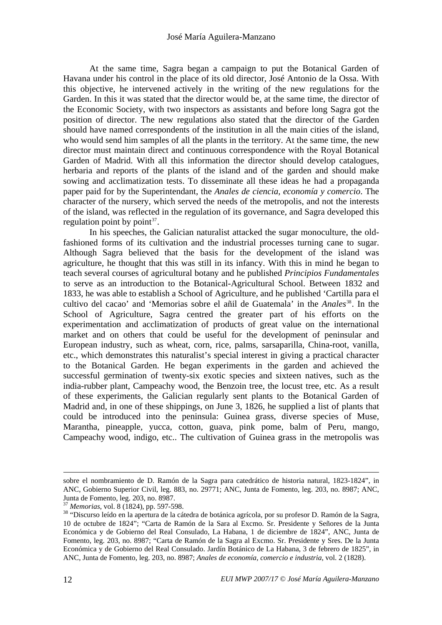<span id="page-17-0"></span>At the same time, Sagra began a campaign to put the Botanical Garden of Havana under his control in the place of its old director, José Antonio de la Ossa. With this objective, he intervened actively in the writing of the new regulations for the Garden. In this it was stated that the director would be, at the same time, the director of the Economic Society, with two inspectors as assistants and before long Sagra got the position of director. The new regulations also stated that the director of the Garden should have named correspondents of the institution in all the main cities of the island, who would send him samples of all the plants in the territory. At the same time, the new director must maintain direct and continuous correspondence with the Royal Botanical Garden of Madrid. With all this information the director should develop catalogues, herbaria and reports of the plants of the island and of the garden and should make sowing and acclimatization tests. To disseminate all these ideas he had a propaganda paper paid for by the Superintendant, the *Anales de ciencia, economía y comercio*. The character of the nursery, which served the needs of the metropolis, and not the interests of the island, was reflected in the regulation of its governance, and Sagra developed this regulation point by point $37$ .

In his speeches, the Galician naturalist attacked the sugar monoculture, the oldfashioned forms of its cultivation and the industrial processes turning cane to sugar. Although Sagra believed that the basis for the development of the island was agriculture, he thought that this was still in its infancy. With this in mind he began to teach several courses of agricultural botany and he published *Principios Fundamentales* to serve as an introduction to the Botanical-Agricultural School. Between 1832 and 1833, he was able to establish a School of Agriculture, and he published 'Cartilla para el cultivo del cacao' and 'Memorias sobre el añil de Guatemala' in the *Anales*[38](#page-17-0). In the School of Agriculture, Sagra centred the greater part of his efforts on the experimentation and acclimatization of products of great value on the international market and on others that could be useful for the development of peninsular and European industry, such as wheat, corn, rice, palms, sarsaparilla, China-root, vanilla, etc., which demonstrates this naturalist's special interest in giving a practical character to the Botanical Garden. He began experiments in the garden and achieved the successful germination of twenty-six exotic species and sixteen natives, such as the india-rubber plant, Campeachy wood, the Benzoin tree, the locust tree, etc. As a result of these experiments, the Galician regularly sent plants to the Botanical Garden of Madrid and, in one of these shippings, on June 3, 1826, he supplied a list of plants that could be introduced into the peninsula: Guinea grass, diverse species of Muse, Marantha, pineapple, yucca, cotton, guava, pink pome, balm of Peru, mango, Campeachy wood, indigo, etc.. The cultivation of Guinea grass in the metropolis was

sobre el nombramiento de D. Ramón de la Sagra para catedrático de historia natural, 1823-1824", in ANC, Gobierno Superior Civil, leg. 883, no. 29771; ANC, Junta de Fomento, leg. 203, no. 8987; ANC, Junta de Fomento, leg. 203, no. 8987.<br><sup>37</sup> Memorias, vol. 8 (1824), pp. 597-598.

<sup>&</sup>lt;sup>38</sup> "Discurso leído en la apertura de la cátedra de botánica agrícola, por su profesor D. Ramón de la Sagra, 10 de octubre de 1824"; "Carta de Ramón de la Sara al Excmo. Sr. Presidente y Señores de la Junta Económica y de Gobierno del Real Consulado, La Habana, 1 de diciembre de 1824", ANC, Junta de Fomento, leg. 203, no. 8987; "Carta de Ramón de la Sagra al Excmo. Sr. Presidente y Sres. De la Junta Económica y de Gobierno del Real Consulado. Jardín Botánico de La Habana, 3 de febrero de 1825", in ANC, Junta de Fomento, leg. 203, no. 8987; *Anales de economía, comercio e industria*, vol. 2 (1828).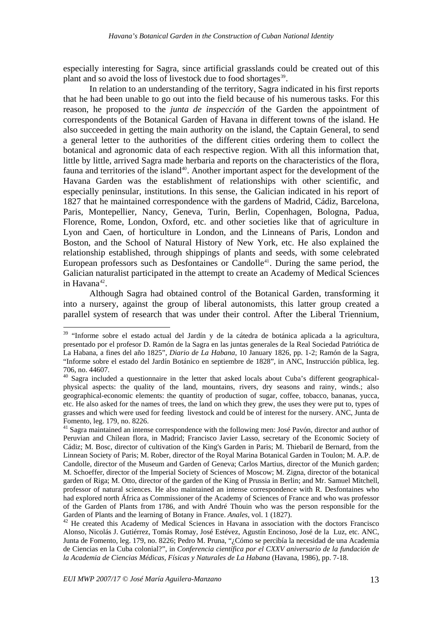<span id="page-18-0"></span>especially interesting for Sagra, since artificial grasslands could be created out of this plant and so avoid the loss of livestock due to food shortages<sup>[39](#page-18-0)</sup>.

In relation to an understanding of the territory, Sagra indicated in his first reports that he had been unable to go out into the field because of his numerous tasks. For this reason, he proposed to the *junta de inspección* of the Garden the appointment of correspondents of the Botanical Garden of Havana in different towns of the island. He also succeeded in getting the main authority on the island, the Captain General, to send a general letter to the authorities of the different cities ordering them to collect the botanical and agronomic data of each respective region. With all this information that, little by little, arrived Sagra made herbaria and reports on the characteristics of the flora, fauna and territories of the island<sup>[40](#page-18-0)</sup>. Another important aspect for the development of the Havana Garden was the establishment of relationships with other scientific, and especially peninsular, institutions. In this sense, the Galician indicated in his report of 1827 that he maintained correspondence with the gardens of Madrid, Cádiz, Barcelona, Paris, Montepellier, Nancy, Geneva, Turin, Berlin, Copenhagen, Bologna, Padua, Florence, Rome, London, Oxford, etc. and other societies like that of agriculture in Lyon and Caen, of horticulture in London, and the Linneans of Paris, London and Boston, and the School of Natural History of New York, etc. He also explained the relationship established, through shippings of plants and seeds, with some celebrated European professors such as Desfontaines or Candolle<sup>[41](#page-18-0)</sup>. During the same period, the Galician naturalist participated in the attempt to create an Academy of Medical Sciences in Havana $42$ .

Although Sagra had obtained control of the Botanical Garden, transforming it into a nursery, against the group of liberal autonomists, this latter group created a parallel system of research that was under their control. After the Liberal Triennium,

<sup>&</sup>lt;sup>39</sup> "Informe sobre el estado actual del Jardín y de la cátedra de botánica aplicada a la agricultura, presentado por el profesor D. Ramón de la Sagra en las juntas generales de la Real Sociedad Patriótica de La Habana, a fines del año 1825", *Diario de La Habana*, 10 January 1826, pp. 1-2; Ramón de la Sagra, "Informe sobre el estado del Jardín Botánico en septiembre de 1828", in ANC, Instrucción pública, leg. 706, no. 44607.

<sup>&</sup>lt;sup>40</sup> Sagra included a questionnaire in the letter that asked locals about Cuba's different geographicalphysical aspects: the quality of the land, mountains, rivers, dry seasons and rainy, winds.; also geographical-economic elements: the quantity of production of sugar, coffee, tobacco, bananas, yucca, etc. He also asked for the names of trees, the land on which they grew, the uses they were put to, types of grasses and which were used for feeding livestock and could be of interest for the nursery. ANC, Junta de Fomento, leg. 179, no. 8226.

<sup>&</sup>lt;sup>41</sup> Sagra maintained an intense correspondence with the following men: José Pavón, director and author of Peruvian and Chilean flora, in Madrid; Francisco Javier Lasso, secretary of the Economic Society of Cádiz; M. Bosc, director of cultivation of the King's Garden in Paris; M. Thiebaril de Bernard, from the Linnean Society of Paris; M. Rober, director of the Royal Marina Botanical Garden in Toulon; M. A.P. de Candolle, director of the Museum and Garden of Geneva; Carlos Martius, director of the Munich garden; M. Schoeffer, director of the Imperial Society of Sciences of Moscow; M. Zigna, director of the botanical garden of Riga; M. Otto, director of the garden of the King of Prussia in Berlin; and Mr. Samuel Mitchell, professor of natural sciences. He also maintained an intense correspondence with R. Desfontaines who had explored north África as Commissioner of the Academy of Sciences of France and who was professor of the Garden of Plants from 1786, and with André Thouin who was the person responsible for the Garden of Plants and the learning of Botany in France. *Anales*, vol. 1 (1827).<br><sup>42</sup> He created this Academy of Medical Sciences in Havana in association with the doctors Francisco

Alonso, Nicolás J. Gutiérrez, Tomás Romay, José Estévez, Agustín Encinoso, José de la Luz, etc. ANC, Junta de Fomento, leg. 179, no. 8226; Pedro M. Pruna, "¿Cómo se percibía la necesidad de una Academia de Ciencias en la Cuba colonial?", in *Conferencia científica por el CXXV aniversario de la fundación de la Academia de Ciencias Médicas, Físicas y Naturales de La Habana* (Havana, 1986), pp. 7-18.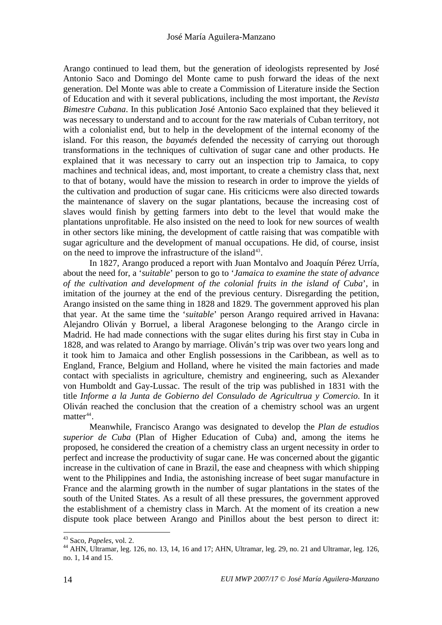<span id="page-19-0"></span>Arango continued to lead them, but the generation of ideologists represented by José Antonio Saco and Domingo del Monte came to push forward the ideas of the next generation. Del Monte was able to create a Commission of Literature inside the Section of Education and with it several publications, including the most important, the *Revista Bimestre Cubana*. In this publication José Antonio Saco explained that they believed it was necessary to understand and to account for the raw materials of Cuban territory, not with a colonialist end, but to help in the development of the internal economy of the island. For this reason, the *bayamés* defended the necessity of carrying out thorough transformations in the techniques of cultivation of sugar cane and other products. He explained that it was necessary to carry out an inspection trip to Jamaica, to copy machines and technical ideas, and, most important, to create a chemistry class that, next to that of botany, would have the mission to research in order to improve the yields of the cultivation and production of sugar cane. His criticicms were also directed towards the maintenance of slavery on the sugar plantations, because the increasing cost of slaves would finish by getting farmers into debt to the level that would make the plantations unprofitable. He also insisted on the need to look for new sources of wealth in other sectors like mining, the development of cattle raising that was compatible with sugar agriculture and the development of manual occupations. He did, of course, insist on the need to improve the infrastructure of the island<sup>[43](#page-19-0)</sup>.

In 1827, Arango produced a report with Juan Montalvo and Joaquín Pérez Urría, about the need for, a '*suitable*' person to go to '*Jamaica to examine the state of advance of the cultivation and development of the colonial fruits in the island of Cuba*', in imitation of the journey at the end of the previous century. Disregarding the petition, Arango insisted on the same thing in 1828 and 1829. The government approved his plan that year. At the same time the '*suitable*' person Arango required arrived in Havana: Alejandro Oliván y Borruel, a liberal Aragonese belonging to the Arango circle in Madrid. He had made connections with the sugar elites during his first stay in Cuba in 1828, and was related to Arango by marriage. Oliván's trip was over two years long and it took him to Jamaica and other English possessions in the Caribbean, as well as to England, France, Belgium and Holland, where he visited the main factories and made contact with specialists in agriculture, chemistry and engineering, such as Alexander von Humboldt and Gay-Lussac. The result of the trip was published in 1831 with the title *Informe a la Junta de Gobierno del Consulado de Agricultrua y Comercio*. In it Oliván reached the conclusion that the creation of a chemistry school was an urgent matter $44$ .

Meanwhile, Francisco Arango was designated to develop the *Plan de estudios superior de Cuba* (Plan of Higher Education of Cuba) and, among the items he proposed, he considered the creation of a chemistry class an urgent necessity in order to perfect and increase the productivity of sugar cane. He was concerned about the gigantic increase in the cultivation of cane in Brazil, the ease and cheapness with which shipping went to the Philippines and India, the astonishing increase of beet sugar manufacture in France and the alarming growth in the number of sugar plantations in the states of the south of the United States. As a result of all these pressures, the government approved the establishment of a chemistry class in March. At the moment of its creation a new dispute took place between Arango and Pinillos about the best person to direct it:

<sup>&</sup>lt;sup>43</sup> Saco, *Papeles*, vol. 2.<br><sup>44</sup> AHN, Ultramar, leg. 126, no. 13, 14, 16 and 17; AHN, Ultramar, leg. 29, no. 21 and Ultramar, leg. 126, no. 1, 14 and 15.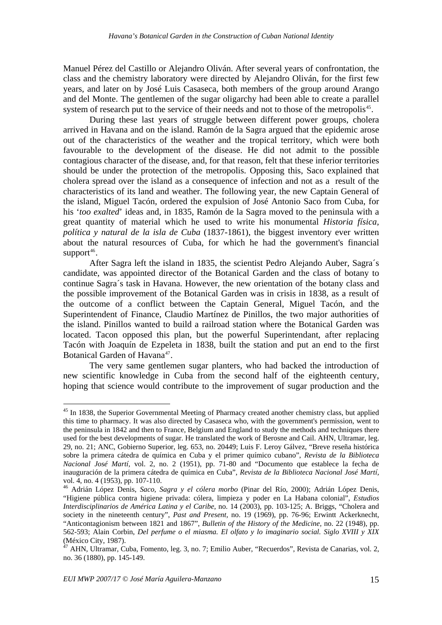<span id="page-20-0"></span>Manuel Pérez del Castillo or Alejandro Oliván. After several years of confrontation, the class and the chemistry laboratory were directed by Alejandro Oliván, for the first few years, and later on by José Luis Casaseca, both members of the group around Arango and del Monte. The gentlemen of the sugar oligarchy had been able to create a parallel system of research put to the service of their needs and not to those of the metropolis<sup>[45](#page-20-0)</sup>.

 During these last years of struggle between different power groups, cholera arrived in Havana and on the island. Ramón de la Sagra argued that the epidemic arose out of the characteristics of the weather and the tropical territory, which were both favourable to the development of the disease. He did not admit to the possible contagious character of the disease, and, for that reason, felt that these inferior territories should be under the protection of the metropolis. Opposing this, Saco explained that cholera spread over the island as a consequence of infection and not as a result of the characteristics of its land and weather. The following year, the new Captain General of the island, Miguel Tacón, ordered the expulsion of José Antonio Saco from Cuba, for his '*too exalted*' ideas and, in 1835, Ramón de la Sagra moved to the peninsula with a great quantity of material which he used to write his monumental *Historia física, política y natural de la isla de Cuba* (1837-1861), the biggest inventory ever written about the natural resources of Cuba, for which he had the government's financial support $46$ .

After Sagra left the island in 1835, the scientist Pedro Alejando Auber, Sagra´s candidate, was appointed director of the Botanical Garden and the class of botany to continue Sagra´s task in Havana. However, the new orientation of the botany class and the possible improvement of the Botanical Garden was in crisis in 1838, as a result of the outcome of a conflict between the Captain General, Miguel Tacón, and the Superintendent of Finance, Claudio Martínez de Pinillos, the two major authorities of the island. Pinillos wanted to build a railroad station where the Botanical Garden was located. Tacon opposed this plan, but the powerful Superintendant, after replacing Tacón with Joaquín de Ezpeleta in 1838, built the station and put an end to the first Botanical Garden of Havana<sup>[47](#page-20-0)</sup>.

The very same gentlemen sugar planters, who had backed the introduction of new scientific knowledge in Cuba from the second half of the eighteenth century, hoping that science would contribute to the improvement of sugar production and the

<sup>&</sup>lt;sup>45</sup> In 1838, the Superior Governmental Meeting of Pharmacy created another chemistry class, but applied this time to pharmacy. It was also directed by Casaseca who, with the government's permission, went to the peninsula in 1842 and then to France, Belgium and England to study the methods and techniques there used for the best developments of sugar. He translated the work of Berosne and Cail. AHN, Ultramar, leg. 29, no. 21; ANC, Gobierno Superior, leg. 653, no. 20449; Luis F. Leroy Gálvez, "Breve reseña histórica sobre la primera cátedra de química en Cuba y el primer químico cubano", *Revista de la Biblioteca Nacional José Martí,* vol. 2, no. 2 (1951), pp. 71-80 and "Documento que establece la fecha de inauguración de la primera cátedra de química en Cuba", *Revista de la Biblioteca Nacional José Martí,* vol. 4, no. 4 (1953), pp. 107-110.

<sup>46</sup> Adrián López Denis, *Saco, Sagra y el cólera morbo* (Pinar del Río, 2000); Adrián López Denis, "Higiene pública contra higiene privada: cólera, limpieza y poder en La Habana colonial", *Estudios Interdisciplinarios de América Latina y el Caribe*, no. 14 (2003), pp. 103-125; A. Briggs, "Cholera and society in the nineteenth century", *Past and Present,* no. 19 (1969), pp. 76-96; Erwintt Ackerknecht, "Anticontagionism between 1821 and 1867", *Bulletin of the History of the Medicine,* no. 22 (1948), pp. 562-593; Alain Corbin, *Del perfume o el miasma. El olfato y lo imaginario social. Siglo XVIII y XIX*  (México City, 1987).

<sup>47</sup> AHN, Ultramar, Cuba, Fomento, leg. 3, no. 7; Emilio Auber, "Recuerdos", Revista de Canarias, vol. 2, no. 36 (1880), pp. 145-149.